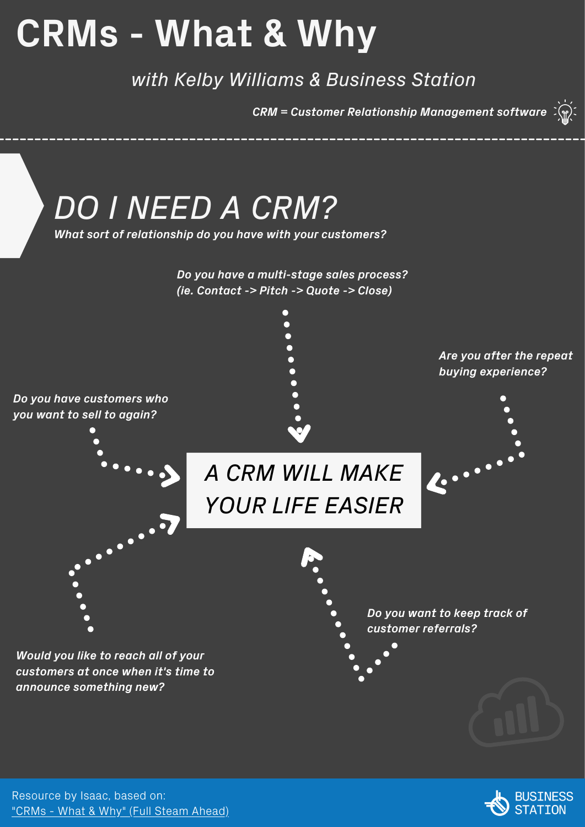# **CRMs - What & Why**

*with Kelby Williams & Business Station*

*CRM = Customer Relationship Management software*